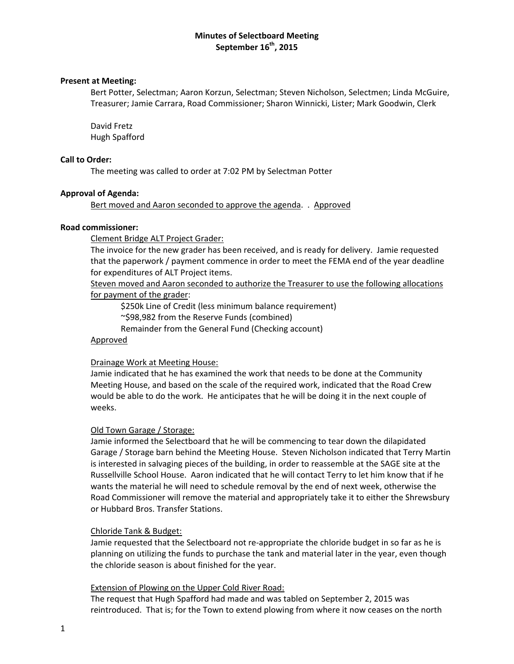# **Minutes of Selectboard Meeting September 16th, 2015**

# **Present at Meeting:**

Bert Potter, Selectman; Aaron Korzun, Selectman; Steven Nicholson, Selectmen; Linda McGuire, Treasurer; Jamie Carrara, Road Commissioner; Sharon Winnicki, Lister; Mark Goodwin, Clerk

David Fretz Hugh Spafford

# **Call to Order:**

The meeting was called to order at 7:02 PM by Selectman Potter

# **Approval of Agenda:**

Bert moved and Aaron seconded to approve the agenda. . Approved

# **Road commissioner:**

Clement Bridge ALT Project Grader:

The invoice for the new grader has been received, and is ready for delivery. Jamie requested that the paperwork / payment commence in order to meet the FEMA end of the year deadline for expenditures of ALT Project items.

Steven moved and Aaron seconded to authorize the Treasurer to use the following allocations for payment of the grader:

\$250k Line of Credit (less minimum balance requirement)

~\$98,982 from the Reserve Funds (combined)

Remainder from the General Fund (Checking account)

# Approved

# Drainage Work at Meeting House:

Jamie indicated that he has examined the work that needs to be done at the Community Meeting House, and based on the scale of the required work, indicated that the Road Crew would be able to do the work. He anticipates that he will be doing it in the next couple of weeks.

#### Old Town Garage / Storage:

Jamie informed the Selectboard that he will be commencing to tear down the dilapidated Garage / Storage barn behind the Meeting House. Steven Nicholson indicated that Terry Martin is interested in salvaging pieces of the building, in order to reassemble at the SAGE site at the Russellville School House. Aaron indicated that he will contact Terry to let him know that if he wants the material he will need to schedule removal by the end of next week, otherwise the Road Commissioner will remove the material and appropriately take it to either the Shrewsbury or Hubbard Bros. Transfer Stations.

#### Chloride Tank & Budget:

Jamie requested that the Selectboard not re‐appropriate the chloride budget in so far as he is planning on utilizing the funds to purchase the tank and material later in the year, even though the chloride season is about finished for the year.

# Extension of Plowing on the Upper Cold River Road:

The request that Hugh Spafford had made and was tabled on September 2, 2015 was reintroduced. That is; for the Town to extend plowing from where it now ceases on the north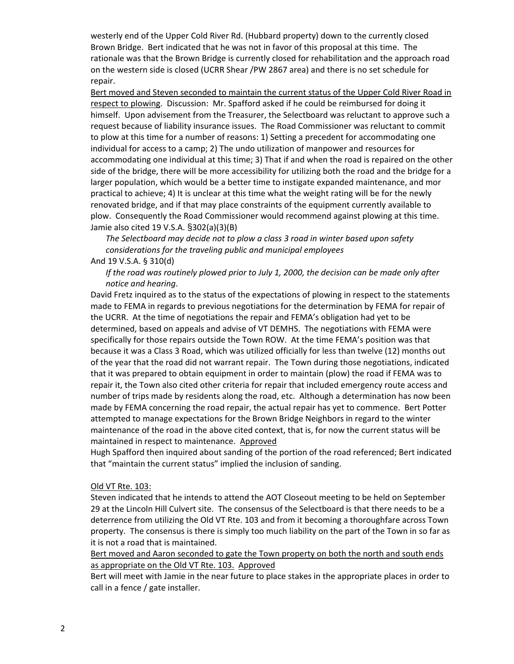westerly end of the Upper Cold River Rd. (Hubbard property) down to the currently closed Brown Bridge. Bert indicated that he was not in favor of this proposal at this time. The rationale was that the Brown Bridge is currently closed for rehabilitation and the approach road on the western side is closed (UCRR Shear /PW 2867 area) and there is no set schedule for repair.

Bert moved and Steven seconded to maintain the current status of the Upper Cold River Road in respect to plowing. Discussion: Mr. Spafford asked if he could be reimbursed for doing it himself. Upon advisement from the Treasurer, the Selectboard was reluctant to approve such a request because of liability insurance issues. The Road Commissioner was reluctant to commit to plow at this time for a number of reasons: 1) Setting a precedent for accommodating one individual for access to a camp; 2) The undo utilization of manpower and resources for accommodating one individual at this time; 3) That if and when the road is repaired on the other side of the bridge, there will be more accessibility for utilizing both the road and the bridge for a larger population, which would be a better time to instigate expanded maintenance, and mor practical to achieve; 4) It is unclear at this time what the weight rating will be for the newly renovated bridge, and if that may place constraints of the equipment currently available to plow. Consequently the Road Commissioner would recommend against plowing at this time. Jamie also cited 19 V.S.A. §302(a)(3)(B)

*The Selectboard may decide not to plow a class 3 road in winter based upon safety considerations for the traveling public and municipal employees*

And 19 V.S.A. § 310(d)

*If the road was routinely plowed prior to July 1, 2000, the decision can be made only after notice and hearing*.

David Fretz inquired as to the status of the expectations of plowing in respect to the statements made to FEMA in regards to previous negotiations for the determination by FEMA for repair of the UCRR. At the time of negotiations the repair and FEMA's obligation had yet to be determined, based on appeals and advise of VT DEMHS. The negotiations with FEMA were specifically for those repairs outside the Town ROW. At the time FEMA's position was that because it was a Class 3 Road, which was utilized officially for less than twelve (12) months out of the year that the road did not warrant repair. The Town during those negotiations, indicated that it was prepared to obtain equipment in order to maintain (plow) the road if FEMA was to repair it, the Town also cited other criteria for repair that included emergency route access and number of trips made by residents along the road, etc. Although a determination has now been made by FEMA concerning the road repair, the actual repair has yet to commence. Bert Potter attempted to manage expectations for the Brown Bridge Neighbors in regard to the winter maintenance of the road in the above cited context, that is, for now the current status will be maintained in respect to maintenance. Approved

Hugh Spafford then inquired about sanding of the portion of the road referenced; Bert indicated that "maintain the current status" implied the inclusion of sanding.

#### Old VT Rte. 103:

Steven indicated that he intends to attend the AOT Closeout meeting to be held on September 29 at the Lincoln Hill Culvert site. The consensus of the Selectboard is that there needs to be a deterrence from utilizing the Old VT Rte. 103 and from it becoming a thoroughfare across Town property. The consensus is there is simply too much liability on the part of the Town in so far as it is not a road that is maintained.

Bert moved and Aaron seconded to gate the Town property on both the north and south ends as appropriate on the Old VT Rte. 103. Approved

Bert will meet with Jamie in the near future to place stakes in the appropriate places in order to call in a fence / gate installer.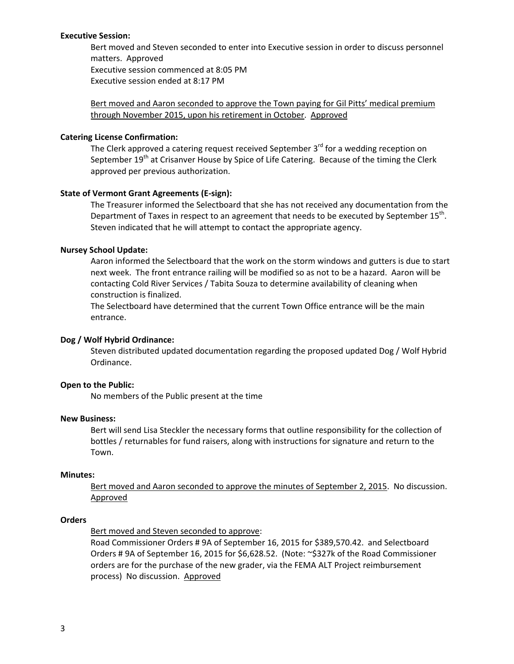#### **Executive Session:**

Bert moved and Steven seconded to enter into Executive session in order to discuss personnel matters. Approved Executive session commenced at 8:05 PM Executive session ended at 8:17 PM

Bert moved and Aaron seconded to approve the Town paying for Gil Pitts' medical premium through November 2015, upon his retirement in October. Approved

# **Catering License Confirmation:**

The Clerk approved a catering request received September 3<sup>rd</sup> for a wedding reception on September 19<sup>th</sup> at Crisanver House by Spice of Life Catering. Because of the timing the Clerk approved per previous authorization.

# **State of Vermont Grant Agreements (E‐sign):**

The Treasurer informed the Selectboard that she has not received any documentation from the Department of Taxes in respect to an agreement that needs to be executed by September 15<sup>th</sup>. Steven indicated that he will attempt to contact the appropriate agency.

# **Nursey School Update:**

Aaron informed the Selectboard that the work on the storm windows and gutters is due to start next week. The front entrance railing will be modified so as not to be a hazard. Aaron will be contacting Cold River Services / Tabita Souza to determine availability of cleaning when construction is finalized.

The Selectboard have determined that the current Town Office entrance will be the main entrance.

# **Dog / Wolf Hybrid Ordinance:**

Steven distributed updated documentation regarding the proposed updated Dog / Wolf Hybrid Ordinance.

# **Open to the Public:**

No members of the Public present at the time

#### **New Business:**

Bert will send Lisa Steckler the necessary forms that outline responsibility for the collection of bottles / returnables for fund raisers, along with instructions for signature and return to the Town.

#### **Minutes:**

Bert moved and Aaron seconded to approve the minutes of September 2, 2015. No discussion. Approved

#### **Orders**

Bert moved and Steven seconded to approve:

Road Commissioner Orders # 9A of September 16, 2015 for \$389,570.42. and Selectboard Orders # 9A of September 16, 2015 for \$6,628.52. (Note: ~\$327k of the Road Commissioner orders are for the purchase of the new grader, via the FEMA ALT Project reimbursement process) No discussion. Approved